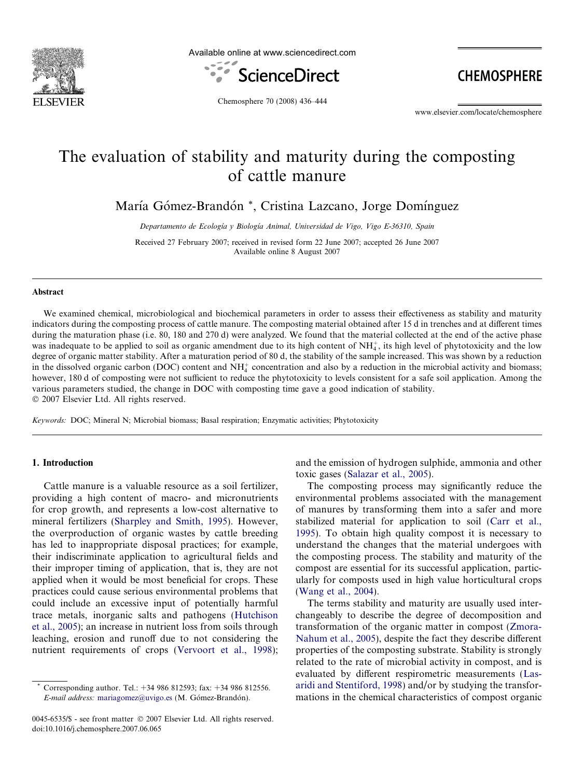

Available online at www.sciencedirect.com



**CHEMOSPHERE** 

Chemosphere 70 (2008) 436–444

www.elsevier.com/locate/chemosphere

# The evaluation of stability and maturity during the composting of cattle manure

María Gómez-Brandón \*, Cristina Lazcano, Jorge Domínguez

Departamento de Ecología y Biología Animal, Universidad de Vigo, Vigo E-36310, Spain

Received 27 February 2007; received in revised form 22 June 2007; accepted 26 June 2007 Available online 8 August 2007

#### Abstract

We examined chemical, microbiological and biochemical parameters in order to assess their effectiveness as stability and maturity indicators during the composting process of cattle manure. The composting material obtained after 15 d in trenches and at different times during the maturation phase (i.e. 80, 180 and 270 d) were analyzed. We found that the material collected at the end of the active phase was inadequate to be applied to soil as organic amendment due to its high content of  $NH_4^+$ , its high level of phytotoxicity and the low degree of organic matter stability. After a maturation period of 80 d, the stability of the sample increased. This was shown by a reduction in the dissolved organic carbon (DOC) content and  $NH<sub>4</sub><sup>+</sup>$  concentration and also by a reduction in the microbial activity and biomass; however, 180 d of composting were not sufficient to reduce the phytotoxicity to levels consistent for a safe soil application. Among the various parameters studied, the change in DOC with composting time gave a good indication of stability.  $© 2007 Elsevier Ltd. All rights reserved.$ 

Keywords: DOC; Mineral N; Microbial biomass; Basal respiration; Enzymatic activities; Phytotoxicity

# 1. Introduction

Cattle manure is a valuable resource as a soil fertilizer, providing a high content of macro- and micronutrients for crop growth, and represents a low-cost alternative to mineral fertilizers ([Sharpley and Smith, 1995\)](#page-8-0). However, the overproduction of organic wastes by cattle breeding has led to inappropriate disposal practices; for example, their indiscriminate application to agricultural fields and their improper timing of application, that is, they are not applied when it would be most beneficial for crops. These practices could cause serious environmental problems that could include an excessive input of potentially harmful trace metals, inorganic salts and pathogens [\(Hutchison](#page-8-0) [et al., 2005](#page-8-0)); an increase in nutrient loss from soils through leaching, erosion and runoff due to not considering the nutrient requirements of crops ([Vervoort et al., 1998\)](#page-8-0);

and the emission of hydrogen sulphide, ammonia and other toxic gases ([Salazar et al., 2005\)](#page-8-0).

The composting process may significantly reduce the environmental problems associated with the management of manures by transforming them into a safer and more stabilized material for application to soil [\(Carr et al.,](#page-7-0) [1995\)](#page-7-0). To obtain high quality compost it is necessary to understand the changes that the material undergoes with the composting process. The stability and maturity of the compost are essential for its successful application, particularly for composts used in high value horticultural crops [\(Wang et al., 2004](#page-8-0)).

The terms stability and maturity are usually used interchangeably to describe the degree of decomposition and transformation of the organic matter in compost [\(Zmora-](#page-8-0)[Nahum et al., 2005](#page-8-0)), despite the fact they describe different properties of the composting substrate. Stability is strongly related to the rate of microbial activity in compost, and is evaluated by different respirometric measurements ([Las](#page-8-0)[aridi and Stentiford, 1998](#page-8-0)) and/or by studying the transformations in the chemical characteristics of compost organic

Corresponding author. Tel.: +34 986 812593; fax: +34 986 812556.  $E$ -mail address: [mariagomez@uvigo.es](mailto:mariagomez@uvigo.es) (M. Gómez-Brandón).

<sup>0045-6535/\$ -</sup> see front matter © 2007 Elsevier Ltd. All rights reserved. doi:10.1016/j.chemosphere.2007.06.065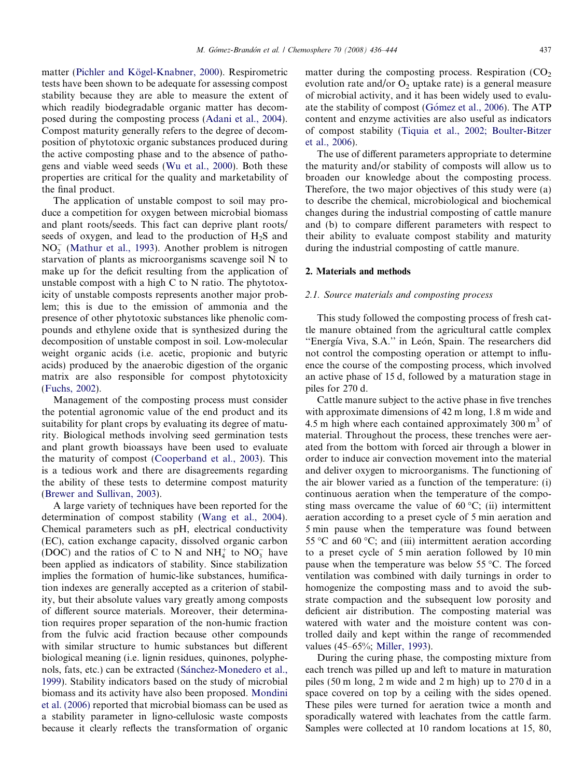matter (Pichler and Kögel-Knabner, 2000). Respirometric tests have been shown to be adequate for assessing compost stability because they are able to measure the extent of which readily biodegradable organic matter has decomposed during the composting process ([Adani et al., 2004\)](#page-7-0). Compost maturity generally refers to the degree of decomposition of phytotoxic organic substances produced during the active composting phase and to the absence of pathogens and viable weed seeds [\(Wu et al., 2000](#page-8-0)). Both these properties are critical for the quality and marketability of the final product.

The application of unstable compost to soil may produce a competition for oxygen between microbial biomass and plant roots/seeds. This fact can deprive plant roots/ seeds of oxygen, and lead to the production of  $H_2S$  and  $NO<sub>2</sub><sup>-</sup>$  [\(Mathur et al., 1993](#page-8-0)). Another problem is nitrogen starvation of plants as microorganisms scavenge soil N to make up for the deficit resulting from the application of unstable compost with a high C to N ratio. The phytotoxicity of unstable composts represents another major problem; this is due to the emission of ammonia and the presence of other phytotoxic substances like phenolic compounds and ethylene oxide that is synthesized during the decomposition of unstable compost in soil. Low-molecular weight organic acids (i.e. acetic, propionic and butyric acids) produced by the anaerobic digestion of the organic matrix are also responsible for compost phytotoxicity ([Fuchs, 2002\)](#page-7-0).

Management of the composting process must consider the potential agronomic value of the end product and its suitability for plant crops by evaluating its degree of maturity. Biological methods involving seed germination tests and plant growth bioassays have been used to evaluate the maturity of compost ([Cooperband et al., 2003\)](#page-7-0). This is a tedious work and there are disagreements regarding the ability of these tests to determine compost maturity ([Brewer and Sullivan, 2003](#page-7-0)).

A large variety of techniques have been reported for the determination of compost stability ([Wang et al., 2004\)](#page-8-0). Chemical parameters such as pH, electrical conductivity (EC), cation exchange capacity, dissolved organic carbon (DOC) and the ratios of C to N and  $NH_4^+$  to  $NO_3^-$  have been applied as indicators of stability. Since stabilization implies the formation of humic-like substances, humification indexes are generally accepted as a criterion of stability, but their absolute values vary greatly among composts of different source materials. Moreover, their determination requires proper separation of the non-humic fraction from the fulvic acid fraction because other compounds with similar structure to humic substances but different biological meaning (i.e. lignin residues, quinones, polyphenols, fats, etc.) can be extracted (Sánchez-Monedero et al., [1999](#page-8-0)). Stability indicators based on the study of microbial biomass and its activity have also been proposed. [Mondini](#page-8-0) [et al. \(2006\)](#page-8-0) reported that microbial biomass can be used as a stability parameter in ligno-cellulosic waste composts because it clearly reflects the transformation of organic matter during the composting process. Respiration  $(CO<sub>2</sub>)$ evolution rate and/or  $O_2$  uptake rate) is a general measure of microbial activity, and it has been widely used to evaluate the stability of compost (Gómez et al., 2006). The ATP content and enzyme activities are also useful as indicators of compost stability ([Tiquia et al., 2002; Boulter-Bitzer](#page-8-0) [et al., 2006\)](#page-8-0).

The use of different parameters appropriate to determine the maturity and/or stability of composts will allow us to broaden our knowledge about the composting process. Therefore, the two major objectives of this study were (a) to describe the chemical, microbiological and biochemical changes during the industrial composting of cattle manure and (b) to compare different parameters with respect to their ability to evaluate compost stability and maturity during the industrial composting of cattle manure.

#### 2. Materials and methods

#### 2.1. Source materials and composting process

This study followed the composting process of fresh cattle manure obtained from the agricultural cattle complex "Energía Viva, S.A." in León, Spain. The researchers did not control the composting operation or attempt to influence the course of the composting process, which involved an active phase of 15 d, followed by a maturation stage in piles for 270 d.

Cattle manure subject to the active phase in five trenches with approximate dimensions of 42 m long, 1.8 m wide and 4.5 m high where each contained approximately  $300 \text{ m}^3$  of material. Throughout the process, these trenches were aerated from the bottom with forced air through a blower in order to induce air convection movement into the material and deliver oxygen to microorganisms. The functioning of the air blower varied as a function of the temperature: (i) continuous aeration when the temperature of the composting mass overcame the value of  $60^{\circ}$ C; (ii) intermittent aeration according to a preset cycle of 5 min aeration and 5 min pause when the temperature was found between 55 °C and 60 °C; and (iii) intermittent aeration according to a preset cycle of 5 min aeration followed by 10 min pause when the temperature was below  $55^{\circ}$ C. The forced ventilation was combined with daily turnings in order to homogenize the composting mass and to avoid the substrate compaction and the subsequent low porosity and deficient air distribution. The composting material was watered with water and the moisture content was controlled daily and kept within the range of recommended values (45–65%; [Miller, 1993\)](#page-8-0).

During the curing phase, the composting mixture from each trench was pilled up and left to mature in maturation piles (50 m long, 2 m wide and 2 m high) up to 270 d in a space covered on top by a ceiling with the sides opened. These piles were turned for aeration twice a month and sporadically watered with leachates from the cattle farm. Samples were collected at 10 random locations at 15, 80,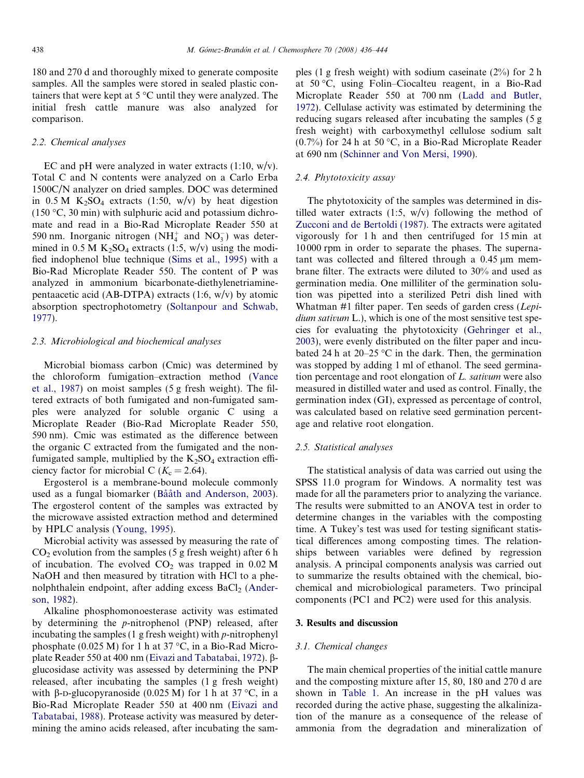180 and 270 d and thoroughly mixed to generate composite samples. All the samples were stored in sealed plastic containers that were kept at  $5^{\circ}$ C until they were analyzed. The initial fresh cattle manure was also analyzed for comparison.

## 2.2. Chemical analyses

EC and pH were analyzed in water extracts  $(1:10, w/v)$ . Total C and N contents were analyzed on a Carlo Erba 1500C/N analyzer on dried samples. DOC was determined in  $0.5 M K<sub>2</sub>SO<sub>4</sub>$  extracts (1:50, w/v) by heat digestion (150  $\degree$ C, 30 min) with sulphuric acid and potassium dichromate and read in a Bio-Rad Microplate Reader 550 at 590 nm. Inorganic nitrogen ( $NH_4^+$  and  $NO_3^-$ ) was determined in 0.5 M  $K_2SO_4$  extracts (1:5, w/v) using the modified indophenol blue technique [\(Sims et al., 1995\)](#page-8-0) with a Bio-Rad Microplate Reader 550. The content of P was analyzed in ammonium bicarbonate-diethylenetriaminepentaacetic acid (AB-DTPA) extracts  $(1:6, w/v)$  by atomic absorption spectrophotometry ([Soltanpour and Schwab,](#page-8-0) [1977\)](#page-8-0).

## 2.3. Microbiological and biochemical analyses

Microbial biomass carbon (Cmic) was determined by the chloroform fumigation–extraction method [\(Vance](#page-8-0) [et al., 1987](#page-8-0)) on moist samples (5 g fresh weight). The filtered extracts of both fumigated and non-fumigated samples were analyzed for soluble organic C using a Microplate Reader (Bio-Rad Microplate Reader 550, 590 nm). Cmic was estimated as the difference between the organic C extracted from the fumigated and the nonfumigated sample, multiplied by the  $K_2SO_4$  extraction efficiency factor for microbial C ( $K_c = 2.64$ ).

Ergosterol is a membrane-bound molecule commonly used as a fungal biomarker (Bååth and Anderson, 2003). The ergosterol content of the samples was extracted by the microwave assisted extraction method and determined by HPLC analysis [\(Young, 1995](#page-8-0)).

Microbial activity was assessed by measuring the rate of  $CO<sub>2</sub>$  evolution from the samples (5 g fresh weight) after 6 h of incubation. The evolved  $CO<sub>2</sub>$  was trapped in 0.02 M NaOH and then measured by titration with HCl to a phenolphthalein endpoint, after adding excess  $BaCl<sub>2</sub>$  [\(Ander](#page-7-0)[son, 1982\)](#page-7-0).

Alkaline phosphomonoesterase activity was estimated by determining the p-nitrophenol (PNP) released, after incubating the samples  $(1 \text{ g fresh weight})$  with *p*-nitrophenyl phosphate (0.025 M) for 1 h at 37 °C, in a Bio-Rad Microplate Reader 550 at 400 nm [\(Eivazi and Tabatabai, 1972\)](#page-7-0). bglucosidase activity was assessed by determining the PNP released, after incubating the samples (1 g fresh weight) with  $\beta$ -D-glucopyranoside (0.025 M) for 1 h at 37 °C, in a Bio-Rad Microplate Reader 550 at 400 nm [\(Eivazi and](#page-7-0) [Tabatabai, 1988\)](#page-7-0). Protease activity was measured by determining the amino acids released, after incubating the samples (1 g fresh weight) with sodium caseinate (2%) for 2 h at 50 C, using Folin–Ciocalteu reagent, in a Bio-Rad Microplate Reader 550 at 700 nm [\(Ladd and Butler,](#page-8-0) [1972\)](#page-8-0). Cellulase activity was estimated by determining the reducing sugars released after incubating the samples (5 g fresh weight) with carboxymethyl cellulose sodium salt  $(0.7\%)$  for 24 h at 50 °C, in a Bio-Rad Microplate Reader at 690 nm ([Schinner and Von Mersi, 1990](#page-8-0)).

# 2.4. Phytotoxicity assay

The phytotoxicity of the samples was determined in distilled water extracts  $(1:5, w/v)$  following the method of [Zucconi and de Bertoldi \(1987\).](#page-8-0) The extracts were agitated vigorously for 1 h and then centrifuged for 15 min at 10 000 rpm in order to separate the phases. The supernatant was collected and filtered through a  $0.45 \mu m$  membrane filter. The extracts were diluted to 30% and used as germination media. One milliliter of the germination solution was pipetted into a sterilized Petri dish lined with Whatman #1 filter paper. Ten seeds of garden cress (Lepidium sativum L.), which is one of the most sensitive test species for evaluating the phytotoxicity ([Gehringer et al.,](#page-7-0) [2003\)](#page-7-0), were evenly distributed on the filter paper and incubated 24 h at 20–25 °C in the dark. Then, the germination was stopped by adding 1 ml of ethanol. The seed germination percentage and root elongation of L. sativum were also measured in distilled water and used as control. Finally, the germination index (GI), expressed as percentage of control, was calculated based on relative seed germination percentage and relative root elongation.

# 2.5. Statistical analyses

The statistical analysis of data was carried out using the SPSS 11.0 program for Windows. A normality test was made for all the parameters prior to analyzing the variance. The results were submitted to an ANOVA test in order to determine changes in the variables with the composting time. A Tukey's test was used for testing significant statistical differences among composting times. The relationships between variables were defined by regression analysis. A principal components analysis was carried out to summarize the results obtained with the chemical, biochemical and microbiological parameters. Two principal components (PC1 and PC2) were used for this analysis.

# 3. Results and discussion

### 3.1. Chemical changes

The main chemical properties of the initial cattle manure and the composting mixture after 15, 80, 180 and 270 d are shown in [Table 1](#page-3-0). An increase in the pH values was recorded during the active phase, suggesting the alkalinization of the manure as a consequence of the release of ammonia from the degradation and mineralization of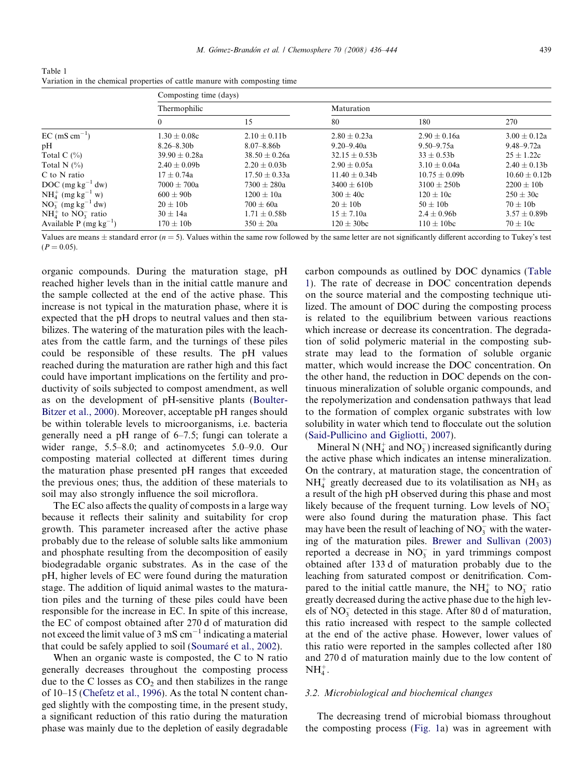<span id="page-3-0"></span>Table 1 Variation in the chemical properties of cattle manure with composting time

|                                   | Composting time (days) |                   |                   |                   |                   |
|-----------------------------------|------------------------|-------------------|-------------------|-------------------|-------------------|
|                                   | Thermophilic           |                   | Maturation        |                   |                   |
|                                   |                        | 15                | 80                | 180               | 270               |
| $EC (mS cm-1)$                    | $1.30 \pm 0.08c$       | $2.10 \pm 0.11$   | $2.80 \pm 0.23a$  | $2.90 \pm 0.16a$  | $3.00 \pm 0.12a$  |
| pH                                | $8.26 - 8.30b$         | $8.07 - 8.86b$    | $9.20 - 9.40a$    | $9.50 - 9.75a$    | $9.48 - 9.72a$    |
| Total C $(\% )$                   | $39.90 \pm 0.28a$      | $38.50 \pm 0.26a$ | $32.15 \pm 0.53b$ | $33 \pm 0.53b$    | $25 + 1.22c$      |
| Total N $(\% )$                   | $2.40 + 0.09b$         | $2.20 + 0.03b$    | $2.90 + 0.05a$    | $3.10 + 0.04a$    | $2.40 \pm 0.13b$  |
| C to N ratio                      | $17 \pm 0.74a$         | $17.50 \pm 0.33a$ | $11.40 \pm 0.34b$ | $10.75 \pm 0.09b$ | $10.60 \pm 0.12b$ |
| $DOC$ (mg kg <sup>-1</sup> dw)    | $7000 + 700a$          | $7300 \pm 280a$   | $3400 \pm 610b$   | $3100 \pm 250b$   | $2200 + 10b$      |
| $NH_4^+$ (mg kg <sup>-1</sup> w)  | $600 \pm 90b$          | $1200 + 10a$      | $300 + 40c$       | $120 \pm 10c$     | $250 + 30c$       |
| $NO_3^-$ (mg kg <sup>-1</sup> dw) | $20 \pm 10b$           | $700 \pm 60a$     | $20 \pm 10b$      | $50 \pm 10b$      | $70 \pm 10b$      |
| $NH4+$ to $NO3-$ ratio            | $30 \pm 14a$           | $1.71 \pm 0.58$ b | $15 + 7.10a$      | $2.4 \pm 0.96b$   | $3.57 \pm 0.89$ b |
| Available P (mg $kg^{-1}$ )       | $170 \pm 10b$          | $350 \pm 20a$     | $120 \pm 30$ bc   | $110 \pm 10$ bc   | $70 \pm 10c$      |

Values are means  $\pm$  standard error ( $n = 5$ ). Values within the same row followed by the same letter are not significantly different according to Tukey's test  $(P = 0.05)$ .

organic compounds. During the maturation stage, pH reached higher levels than in the initial cattle manure and the sample collected at the end of the active phase. This increase is not typical in the maturation phase, where it is expected that the pH drops to neutral values and then stabilizes. The watering of the maturation piles with the leachates from the cattle farm, and the turnings of these piles could be responsible of these results. The pH values reached during the maturation are rather high and this fact could have important implications on the fertility and productivity of soils subjected to compost amendment, as well as on the development of pH-sensitive plants [\(Boulter-](#page-7-0)[Bitzer et al., 2000\)](#page-7-0). Moreover, acceptable pH ranges should be within tolerable levels to microorganisms, i.e. bacteria generally need a pH range of 6–7.5; fungi can tolerate a wider range, 5.5–8.0; and actinomycetes 5.0–9.0. Our composting material collected at different times during the maturation phase presented pH ranges that exceeded the previous ones; thus, the addition of these materials to soil may also strongly influence the soil microflora.

The EC also affects the quality of composts in a large way because it reflects their salinity and suitability for crop growth. This parameter increased after the active phase probably due to the release of soluble salts like ammonium and phosphate resulting from the decomposition of easily biodegradable organic substrates. As in the case of the pH, higher levels of EC were found during the maturation stage. The addition of liquid animal wastes to the maturation piles and the turning of these piles could have been responsible for the increase in EC. In spite of this increase, the EC of compost obtained after 270 d of maturation did not exceed the limit value of 3 mS  $cm^{-1}$  indicating a material that could be safely applied to soil (Soumaré [et al., 2002](#page-8-0)).

When an organic waste is composted, the C to N ratio generally decreases throughout the composting process due to the C losses as  $CO<sub>2</sub>$  and then stabilizes in the range of 10–15 [\(Chefetz et al., 1996\)](#page-7-0). As the total N content changed slightly with the composting time, in the present study, a significant reduction of this ratio during the maturation phase was mainly due to the depletion of easily degradable carbon compounds as outlined by DOC dynamics (Table 1). The rate of decrease in DOC concentration depends on the source material and the composting technique utilized. The amount of DOC during the composting process is related to the equilibrium between various reactions which increase or decrease its concentration. The degradation of solid polymeric material in the composting substrate may lead to the formation of soluble organic matter, which would increase the DOC concentration. On the other hand, the reduction in DOC depends on the continuous mineralization of soluble organic compounds, and the repolymerization and condensation pathways that lead to the formation of complex organic substrates with low solubility in water which tend to flocculate out the solution ([Said-Pullicino and Gigliotti, 2007](#page-8-0)).

Mineral N ( $NH_4^+$  and  $NO_3^-$ ) increased significantly during the active phase which indicates an intense mineralization. On the contrary, at maturation stage, the concentration of  $NH<sub>4</sub><sup>+</sup>$  greatly decreased due to its volatilisation as  $NH<sub>3</sub>$  as a result of the high pH observed during this phase and most likely because of the frequent turning. Low levels of  $NO_3^$ were also found during the maturation phase. This fact may have been the result of leaching of  $NO_3^-$  with the watering of the maturation piles. [Brewer and Sullivan \(2003\)](#page-7-0) reported a decrease in  $NO_3^-$  in yard trimmings compost obtained after 133 d of maturation probably due to the leaching from saturated compost or denitrification. Compared to the initial cattle manure, the  $NH_4^+$  to  $NO_3^-$  ratio greatly decreased during the active phase due to the high levels of  $NO_3^-$  detected in this stage. After 80 d of maturation, this ratio increased with respect to the sample collected at the end of the active phase. However, lower values of this ratio were reported in the samples collected after 180 and 270 d of maturation mainly due to the low content of  $\mathrm{NH}_4^+$ .

## 3.2. Microbiological and biochemical changes

The decreasing trend of microbial biomass throughout the composting process [\(Fig. 1](#page-4-0)a) was in agreement with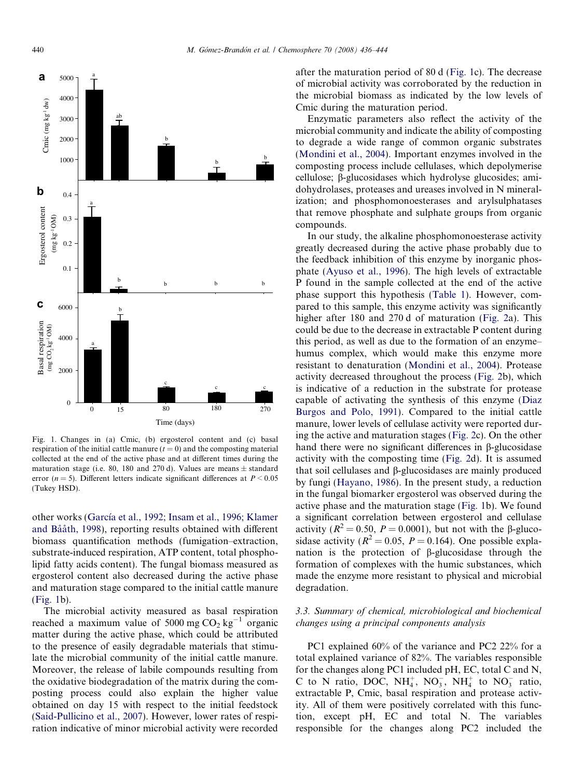<span id="page-4-0"></span>

Fig. 1. Changes in (a) Cmic, (b) ergosterol content and (c) basal respiration of the initial cattle manure  $(t = 0)$  and the composting material collected at the end of the active phase and at different times during the maturation stage (i.e. 80, 180 and 270 d). Values are means  $\pm$  standard error ( $n = 5$ ). Different letters indicate significant differences at  $P \le 0.05$ (Tukey HSD).

other works (García et al., 1992; Insam et al., 1996; Klamer and Bååth, 1998), reporting results obtained with different biomass quantification methods (fumigation–extraction, substrate-induced respiration, ATP content, total phospholipid fatty acids content). The fungal biomass measured as ergosterol content also decreased during the active phase and maturation stage compared to the initial cattle manure (Fig. 1b).

The microbial activity measured as basal respiration reached a maximum value of 5000 mg  $CO_2$  kg<sup>-1</sup> organic matter during the active phase, which could be attributed to the presence of easily degradable materials that stimulate the microbial community of the initial cattle manure. Moreover, the release of labile compounds resulting from the oxidative biodegradation of the matrix during the composting process could also explain the higher value obtained on day 15 with respect to the initial feedstock [\(Said-Pullicino et al., 2007](#page-8-0)). However, lower rates of respiration indicative of minor microbial activity were recorded

after the maturation period of 80 d (Fig. 1c). The decrease of microbial activity was corroborated by the reduction in the microbial biomass as indicated by the low levels of Cmic during the maturation period.

Enzymatic parameters also reflect the activity of the microbial community and indicate the ability of composting to degrade a wide range of common organic substrates [\(Mondini et al., 2004\)](#page-8-0). Important enzymes involved in the composting process include cellulases, which depolymerise cellulose; b-glucosidases which hydrolyse glucosides; amidohydrolases, proteases and ureases involved in N mineralization; and phosphomonoesterases and arylsulphatases that remove phosphate and sulphate groups from organic compounds.

In our study, the alkaline phosphomonoesterase activity greatly decreased during the active phase probably due to the feedback inhibition of this enzyme by inorganic phosphate ([Ayuso et al., 1996\)](#page-7-0). The high levels of extractable P found in the sample collected at the end of the active phase support this hypothesis [\(Table 1\)](#page-3-0). However, compared to this sample, this enzyme activity was significantly higher after 180 and 270 d of maturation [\(Fig. 2a](#page-5-0)). This could be due to the decrease in extractable P content during this period, as well as due to the formation of an enzyme– humus complex, which would make this enzyme more resistant to denaturation ([Mondini et al., 2004](#page-8-0)). Protease activity decreased throughout the process [\(Fig. 2b](#page-5-0)), which is indicative of a reduction in the substrate for protease capable of activating the synthesis of this enzyme [\(Diaz](#page-7-0) [Burgos and Polo, 1991\)](#page-7-0). Compared to the initial cattle manure, lower levels of cellulase activity were reported during the active and maturation stages ([Fig. 2c](#page-5-0)). On the other hand there were no significant differences in  $\beta$ -glucosidase activity with the composting time ([Fig. 2](#page-5-0)d). It is assumed that soil cellulases and  $\beta$ -glucosidases are mainly produced by fungi ([Hayano, 1986\)](#page-7-0). In the present study, a reduction in the fungal biomarker ergosterol was observed during the active phase and the maturation stage (Fig. 1b). We found a significant correlation between ergosterol and cellulase activity ( $R^2 = 0.50$ ,  $P = 0.0001$ ), but not with the  $\beta$ -glucosidase activity ( $R^2 = 0.05$ ,  $P = 0.164$ ). One possible explanation is the protection of  $\beta$ -glucosidase through the formation of complexes with the humic substances, which made the enzyme more resistant to physical and microbial degradation.

# 3.3. Summary of chemical, microbiological and biochemical changes using a principal components analysis

PC1 explained 60% of the variance and PC2 22% for a total explained variance of 82%. The variables responsible for the changes along PC1 included pH, EC, total C and N, C to N ratio, DOC,  $NH_4^+$ , NO<sub>3</sub>, NH<sub>4</sub><sup>+</sup> to NO<sub>3</sub> ratio, extractable P, Cmic, basal respiration and protease activity. All of them were positively correlated with this function, except pH, EC and total N. The variables responsible for the changes along PC2 included the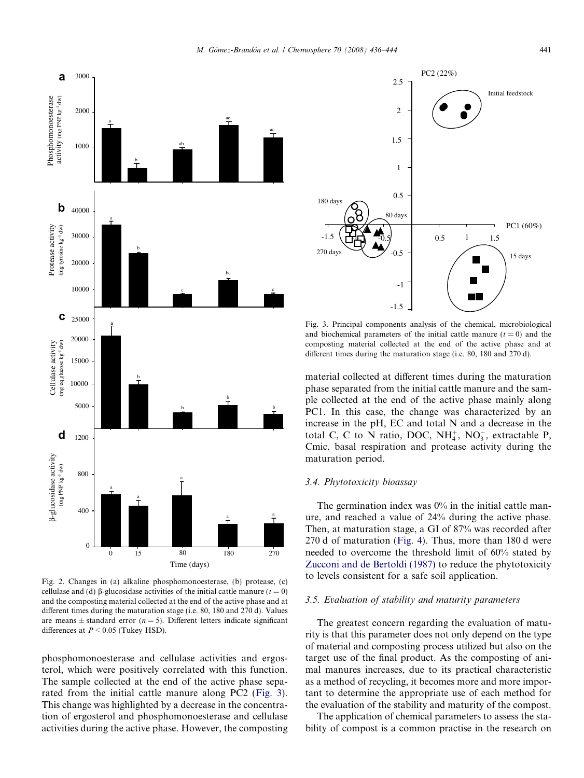<span id="page-5-0"></span>

Fig. 2. Changes in (a) alkaline phosphomonoesterase, (b) protease, (c) cellulase and (d)  $\beta$ -glucosidase activities of the initial cattle manure ( $t = 0$ ) and the composting material collected at the end of the active phase and at different times during the maturation stage (i.e. 80, 180 and 270 d). Values are means  $\pm$  standard error ( $n = 5$ ). Different letters indicate significant differences at  $P \le 0.05$  (Tukey HSD).

phosphomonoesterase and cellulase activities and ergosterol, which were positively correlated with this function. The sample collected at the end of the active phase separated from the initial cattle manure along PC2 (Fig. 3). This change was highlighted by a decrease in the concentration of ergosterol and phosphomonoesterase and cellulase activities during the active phase. However, the composting



Fig. 3. Principal components analysis of the chemical, microbiological and biochemical parameters of the initial cattle manure  $(t = 0)$  and the composting material collected at the end of the active phase and at different times during the maturation stage (i.e. 80, 180 and 270 d).

material collected at different times during the maturation phase separated from the initial cattle manure and the sample collected at the end of the active phase mainly along PC1. In this case, the change was characterized by an increase in the pH, EC and total N and a decrease in the total C, C to N ratio, DOC,  $NH_4^+$ , NO<sub>3</sub>, extractable P, Cmic, basal respiration and protease activity during the maturation period.

### 3.4. Phytotoxicity bioassay

The germination index was 0% in the initial cattle manure, and reached a value of 24% during the active phase. Then, at maturation stage, a GI of 87% was recorded after 270 d of maturation [\(Fig. 4\)](#page-6-0). Thus, more than 180 d were needed to overcome the threshold limit of 60% stated by [Zucconi and de Bertoldi \(1987\)](#page-8-0) to reduce the phytotoxicity to levels consistent for a safe soil application.

## 3.5. Evaluation of stability and maturity parameters

The greatest concern regarding the evaluation of maturity is that this parameter does not only depend on the type of material and composting process utilized but also on the target use of the final product. As the composting of animal manures increases, due to its practical characteristic as a method of recycling, it becomes more and more important to determine the appropriate use of each method for the evaluation of the stability and maturity of the compost.

The application of chemical parameters to assess the stability of compost is a common practise in the research on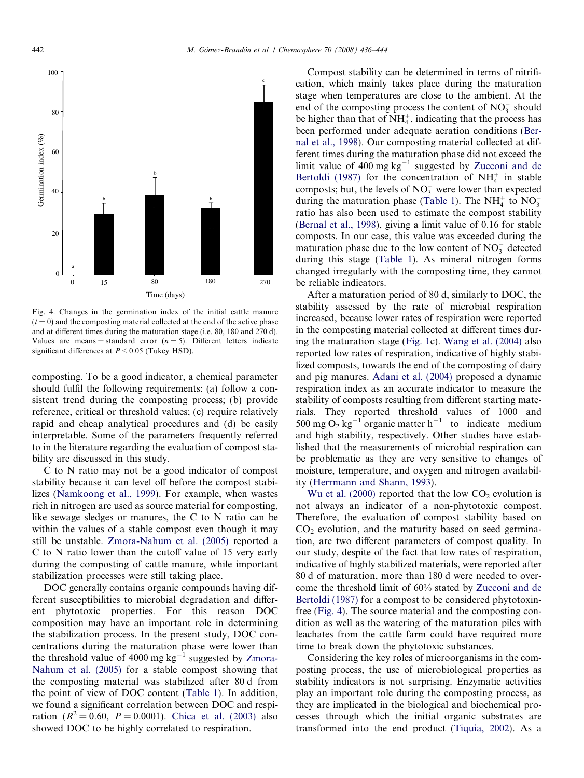<span id="page-6-0"></span>

Fig. 4. Changes in the germination index of the initial cattle manure  $(t = 0)$  and the composting material collected at the end of the active phase and at different times during the maturation stage (i.e. 80, 180 and 270 d). Values are means  $\pm$  standard error ( $n = 5$ ). Different letters indicate significant differences at  $P \le 0.05$  (Tukey HSD).

composting. To be a good indicator, a chemical parameter should fulfil the following requirements: (a) follow a consistent trend during the composting process; (b) provide reference, critical or threshold values; (c) require relatively rapid and cheap analytical procedures and (d) be easily interpretable. Some of the parameters frequently referred to in the literature regarding the evaluation of compost stability are discussed in this study.

C to N ratio may not be a good indicator of compost stability because it can level off before the compost stabilizes ([Namkoong et al., 1999\)](#page-8-0). For example, when wastes rich in nitrogen are used as source material for composting, like sewage sledges or manures, the C to N ratio can be within the values of a stable compost even though it may still be unstable. [Zmora-Nahum et al. \(2005\)](#page-8-0) reported a C to N ratio lower than the cutoff value of 15 very early during the composting of cattle manure, while important stabilization processes were still taking place.

DOC generally contains organic compounds having different susceptibilities to microbial degradation and different phytotoxic properties. For this reason DOC composition may have an important role in determining the stabilization process. In the present study, DOC concentrations during the maturation phase were lower than the threshold value of 4000 mg  $kg^{-1}$  suggested by [Zmora-](#page-8-0)[Nahum et al. \(2005\)](#page-8-0) for a stable compost showing that the composting material was stabilized after 80 d from the point of view of DOC content ([Table 1\)](#page-3-0). In addition, we found a significant correlation between DOC and respiration ( $R^2 = 0.60$ ,  $P = 0.0001$ ). [Chica et al. \(2003\)](#page-7-0) also showed DOC to be highly correlated to respiration.

Compost stability can be determined in terms of nitrification, which mainly takes place during the maturation stage when temperatures are close to the ambient. At the end of the composting process the content of  $NO_3^-$  should be higher than that of  $NH_4^+$ , indicating that the process has been performed under adequate aeration conditions ([Ber](#page-7-0)[nal et al., 1998](#page-7-0)). Our composting material collected at different times during the maturation phase did not exceed the limit value of  $400 \text{ mg kg}^{-1}$  suggested by [Zucconi and de](#page-8-0) [Bertoldi \(1987\)](#page-8-0) for the concentration of  $NH<sub>4</sub><sup>+</sup>$  in stable composts; but, the levels of  $NO_3^-$  were lower than expected during the maturation phase ([Table 1\)](#page-3-0). The  $NH_4^+$  to  $NO_3^$ ratio has also been used to estimate the compost stability [\(Bernal et al., 1998\)](#page-7-0), giving a limit value of 0.16 for stable composts. In our case, this value was exceeded during the maturation phase due to the low content of  $NO_3^-$  detected during this stage [\(Table 1\)](#page-3-0). As mineral nitrogen forms changed irregularly with the composting time, they cannot be reliable indicators.

After a maturation period of 80 d, similarly to DOC, the stability assessed by the rate of microbial respiration increased, because lower rates of respiration were reported in the composting material collected at different times during the maturation stage ([Fig. 1](#page-4-0)c). [Wang et al. \(2004\)](#page-8-0) also reported low rates of respiration, indicative of highly stabilized composts, towards the end of the composting of dairy and pig manures. [Adani et al. \(2004\)](#page-7-0) proposed a dynamic respiration index as an accurate indicator to measure the stability of composts resulting from different starting materials. They reported threshold values of 1000 and 500 mg  $O_2$  kg<sup>-1</sup> organic matter h<sup>-1</sup> to indicate medium and high stability, respectively. Other studies have established that the measurements of microbial respiration can be problematic as they are very sensitive to changes of moisture, temperature, and oxygen and nitrogen availability [\(Herrmann and Shann, 1993\)](#page-8-0).

[Wu et al. \(2000\)](#page-8-0) reported that the low  $CO<sub>2</sub>$  evolution is not always an indicator of a non-phytotoxic compost. Therefore, the evaluation of compost stability based on  $CO<sub>2</sub>$  evolution, and the maturity based on seed germination, are two different parameters of compost quality. In our study, despite of the fact that low rates of respiration, indicative of highly stabilized materials, were reported after 80 d of maturation, more than 180 d were needed to overcome the threshold limit of 60% stated by [Zucconi and de](#page-8-0) [Bertoldi \(1987\)](#page-8-0) for a compost to be considered phytotoxinfree (Fig. 4). The source material and the composting condition as well as the watering of the maturation piles with leachates from the cattle farm could have required more time to break down the phytotoxic substances.

Considering the key roles of microorganisms in the composting process, the use of microbiological properties as stability indicators is not surprising. Enzymatic activities play an important role during the composting process, as they are implicated in the biological and biochemical processes through which the initial organic substrates are transformed into the end product [\(Tiquia, 2002](#page-8-0)). As a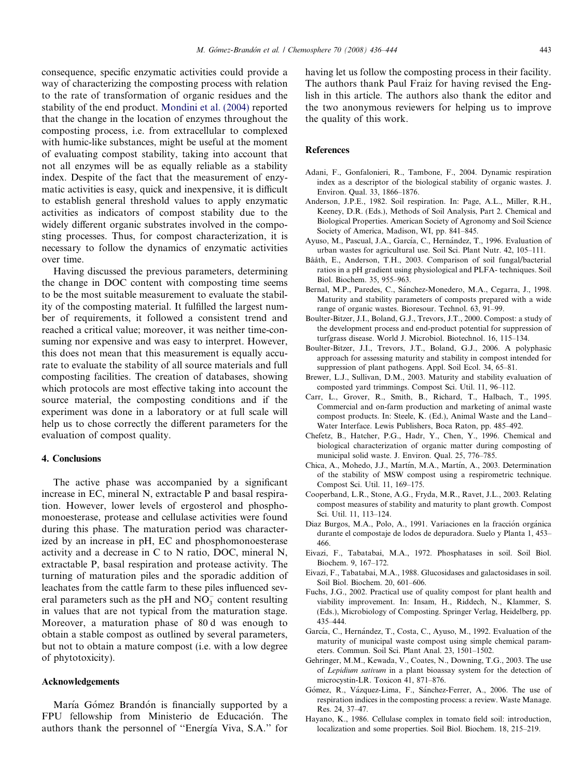<span id="page-7-0"></span>consequence, specific enzymatic activities could provide a way of characterizing the composting process with relation to the rate of transformation of organic residues and the stability of the end product. [Mondini et al. \(2004\)](#page-8-0) reported that the change in the location of enzymes throughout the composting process, i.e. from extracellular to complexed with humic-like substances, might be useful at the moment of evaluating compost stability, taking into account that not all enzymes will be as equally reliable as a stability index. Despite of the fact that the measurement of enzymatic activities is easy, quick and inexpensive, it is difficult to establish general threshold values to apply enzymatic activities as indicators of compost stability due to the widely different organic substrates involved in the composting processes. Thus, for compost characterization, it is necessary to follow the dynamics of enzymatic activities over time.

Having discussed the previous parameters, determining the change in DOC content with composting time seems to be the most suitable measurement to evaluate the stability of the composting material. It fulfilled the largest number of requirements, it followed a consistent trend and reached a critical value; moreover, it was neither time-consuming nor expensive and was easy to interpret. However, this does not mean that this measurement is equally accurate to evaluate the stability of all source materials and full composting facilities. The creation of databases, showing which protocols are most effective taking into account the source material, the composting conditions and if the experiment was done in a laboratory or at full scale will help us to chose correctly the different parameters for the evaluation of compost quality.

## 4. Conclusions

The active phase was accompanied by a significant increase in EC, mineral N, extractable P and basal respiration. However, lower levels of ergosterol and phosphomonoesterase, protease and cellulase activities were found during this phase. The maturation period was characterized by an increase in pH, EC and phosphomonoesterase activity and a decrease in C to N ratio, DOC, mineral N, extractable P, basal respiration and protease activity. The turning of maturation piles and the sporadic addition of leachates from the cattle farm to these piles influenced several parameters such as the pH and  $NO_3^-$  content resulting in values that are not typical from the maturation stage. Moreover, a maturation phase of 80 d was enough to obtain a stable compost as outlined by several parameters, but not to obtain a mature compost (i.e. with a low degree of phytotoxicity).

### Acknowledgements

María Gómez Brandón is financially supported by a FPU fellowship from Ministerio de Educación. The authors thank the personnel of "Energía Viva, S.A." for having let us follow the composting process in their facility. The authors thank Paul Fraiz for having revised the English in this article. The authors also thank the editor and the two anonymous reviewers for helping us to improve the quality of this work.

## References

- Adani, F., Gonfalonieri, R., Tambone, F., 2004. Dynamic respiration index as a descriptor of the biological stability of organic wastes. J. Environ. Qual. 33, 1866–1876.
- Anderson, J.P.E., 1982. Soil respiration. In: Page, A.L., Miller, R.H., Keeney, D.R. (Eds.), Methods of Soil Analysis, Part 2. Chemical and Biological Properties. American Society of Agronomy and Soil Science Society of America, Madison, WI, pp. 841–845.
- Ayuso, M., Pascual, J.A., García, C., Hernández, T., 1996. Evaluation of urban wastes for agricultural use. Soil Sci. Plant Nutr. 42, 105–111.
- Bååth, E., Anderson, T.H., 2003. Comparison of soil fungal/bacterial ratios in a pH gradient using physiological and PLFA- techniques. Soil Biol. Biochem. 35, 955–963.
- Bernal, M.P., Paredes, C., Sánchez-Monedero, M.A., Cegarra, J., 1998. Maturity and stability parameters of composts prepared with a wide range of organic wastes. Bioresour. Technol. 63, 91–99.
- Boulter-Bitzer, J.I., Boland, G.J., Trevors, J.T., 2000. Compost: a study of the development process and end-product potential for suppression of turfgrass disease. World J. Microbiol. Biotechnol. 16, 115–134.
- Boulter-Bitzer, J.I., Trevors, J.T., Boland, G.J., 2006. A polyphasic approach for assessing maturity and stability in compost intended for suppression of plant pathogens. Appl. Soil Ecol. 34, 65–81.
- Brewer, L.J., Sullivan, D.M., 2003. Maturity and stability evaluation of composted yard trimmings. Compost Sci. Util. 11, 96–112.
- Carr, L., Grover, R., Smith, B., Richard, T., Halbach, T., 1995. Commercial and on-farm production and marketing of animal waste compost products. In: Steele, K. (Ed.), Animal Waste and the Land– Water Interface. Lewis Publishers, Boca Raton, pp. 485–492.
- Chefetz, B., Hatcher, P.G., Hadr, Y., Chen, Y., 1996. Chemical and biological characterization of organic matter during composting of municipal solid waste. J. Environ. Qual. 25, 776–785.
- Chica, A., Mohedo, J.J., Martín, M.A., Martín, A., 2003. Determination of the stability of MSW compost using a respirometric technique. Compost Sci. Util. 11, 169–175.
- Cooperband, L.R., Stone, A.G., Fryda, M.R., Ravet, J.L., 2003. Relating compost measures of stability and maturity to plant growth. Compost Sci. Util. 11, 113–124.
- Diaz Burgos, M.A., Polo, A., 1991. Variaciones en la fracción orgánica durante el compostaje de lodos de depuradora. Suelo y Planta 1, 453– 466.
- Eivazi, F., Tabatabai, M.A., 1972. Phosphatases in soil. Soil Biol. Biochem. 9, 167–172.
- Eivazi, F., Tabatabai, M.A., 1988. Glucosidases and galactosidases in soil. Soil Biol. Biochem. 20, 601–606.
- Fuchs, J.G., 2002. Practical use of quality compost for plant health and viability improvement. In: Insam, H., Riddech, N., Klammer, S. (Eds.), Microbiology of Composting. Springer Verlag, Heidelberg, pp. 435–444.
- García, C., Hernández, T., Costa, C., Ayuso, M., 1992. Evaluation of the maturity of municipal waste compost using simple chemical parameters. Commun. Soil Sci. Plant Anal. 23, 1501–1502.
- Gehringer, M.M., Kewada, V., Coates, N., Downing, T.G., 2003. The use of Lepidium sativum in a plant bioassay system for the detection of microcystin-LR. Toxicon 41, 871–876.
- Gómez, R., Vázquez-Lima, F., Sánchez-Ferrer, A., 2006. The use of respiration indices in the composting process: a review. Waste Manage. Res. 24, 37–47.
- Hayano, K., 1986. Cellulase complex in tomato field soil: introduction, localization and some properties. Soil Biol. Biochem. 18, 215–219.